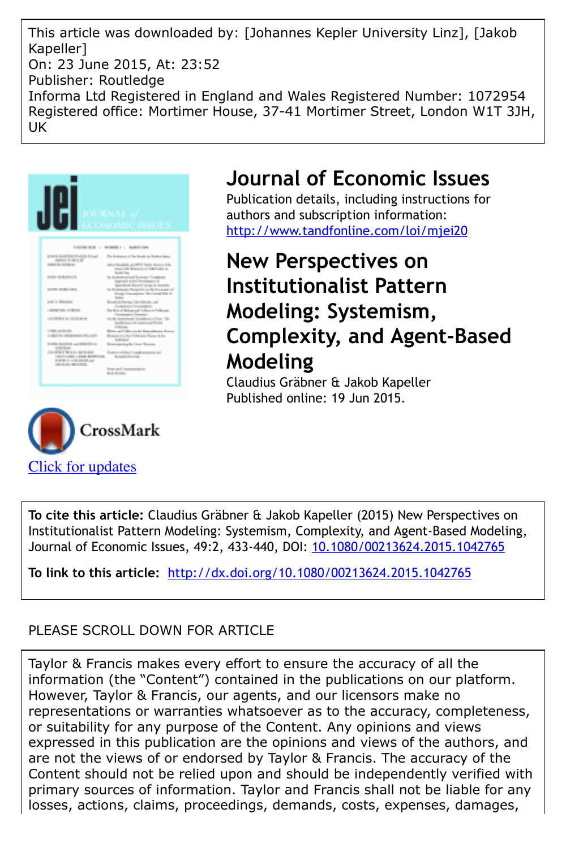This article was downloaded by: [Johannes Kepler University Linz], [Jakob Kapeller] On: 23 June 2015, At: 23:52 Publisher: Routledge Informa Ltd Registered in England and Wales Registered Number: 1072954 Registered office: Mortimer House, 37-41 Mortimer Street, London W1T 3JH, UK



# **Journal of Economic Issues**

Publication details, including instructions for authors and subscription information: <http://www.tandfonline.com/loi/mjei20>

# **New Perspectives on Institutionalist Pattern Modeling: Systemism, Complexity, and Agent-Based Modeling**

Claudius Gräbner & Jakob Kapeller Published online: 19 Jun 2015.



**To cite this article:** Claudius Gräbner & Jakob Kapeller (2015) New Perspectives on Institutionalist Pattern Modeling: Systemism, Complexity, and Agent-Based Modeling, Journal of Economic Issues, 49:2, 433-440, DOI: [10.1080/00213624.2015.1042765](http://www.tandfonline.com/action/showCitFormats?doi=10.1080/00213624.2015.1042765)

**To link to this article:** <http://dx.doi.org/10.1080/00213624.2015.1042765>

# PLEASE SCROLL DOWN FOR ARTICLE

Taylor & Francis makes every effort to ensure the accuracy of all the information (the "Content") contained in the publications on our platform. However, Taylor & Francis, our agents, and our licensors make no representations or warranties whatsoever as to the accuracy, completeness, or suitability for any purpose of the Content. Any opinions and views expressed in this publication are the opinions and views of the authors, and are not the views of or endorsed by Taylor & Francis. The accuracy of the Content should not be relied upon and should be independently verified with primary sources of information. Taylor and Francis shall not be liable for any losses, actions, claims, proceedings, demands, costs, expenses, damages,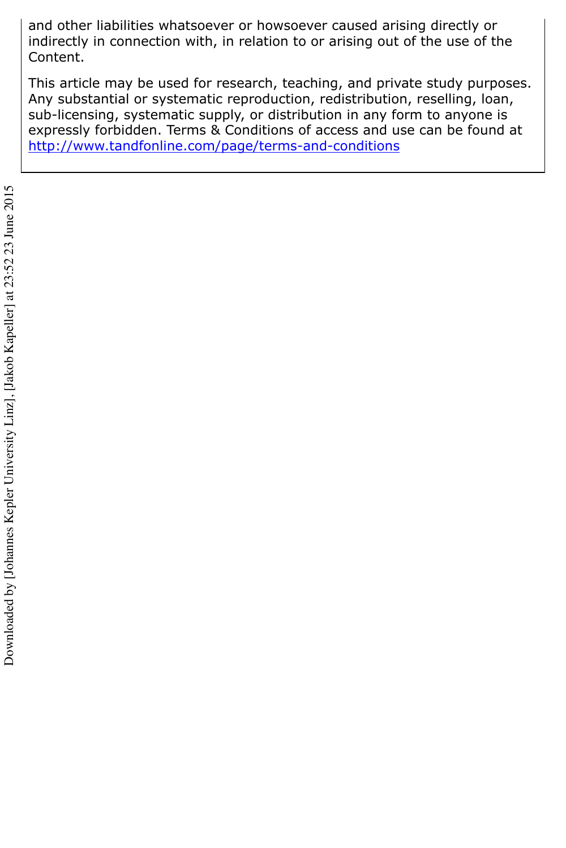and other liabilities whatsoever or howsoever caused arising directly or indirectly in connection with, in relation to or arising out of the use of the Content.

This article may be used for research, teaching, and private study purposes. Any substantial or systematic reproduction, redistribution, reselling, loan, sub-licensing, systematic supply, or distribution in any form to anyone is expressly forbidden. Terms & Conditions of access and use can be found at <http://www.tandfonline.com/page/terms-and-conditions>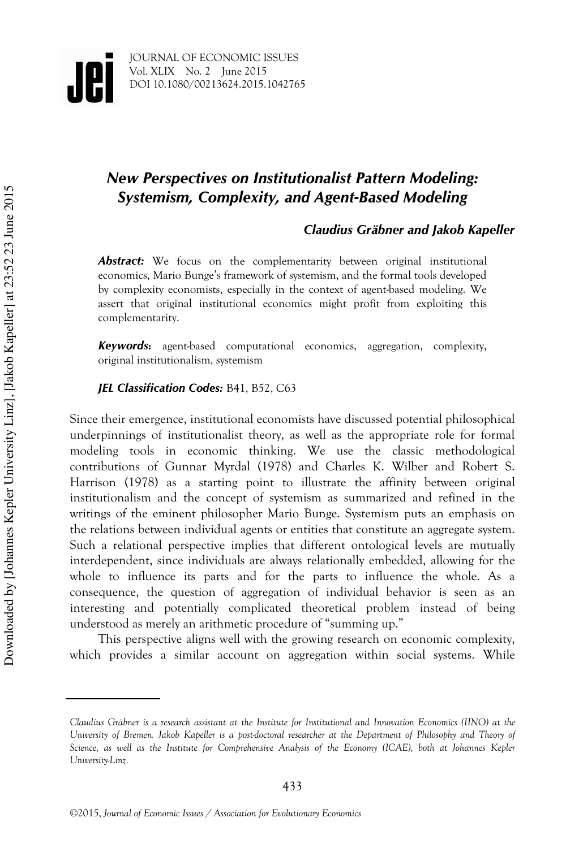

# *New Perspectives on Institutionalist Pattern Modeling: Systemism, Complexity, and Agent-Based Modeling*

## *Claudius Gräbner and Jakob Kapeller*

**Abstract:** We focus on the complementarity between original institutional economics, Mario Bunge's framework of systemism, and the formal tools developed by complexity economists, especially in the context of agent-based modeling. We assert that original institutional economics might profit from exploiting this complementarity.

*Keywords***:** agent-based computational economics, aggregation, complexity, original institutionalism, systemism

### **JEL Classification Codes: B41, B52, C63**

Since their emergence, institutional economists have discussed potential philosophical underpinnings of institutionalist theory, as well as the appropriate role for formal modeling tools in economic thinking. We use the classic methodological contributions of Gunnar Myrdal (1978) and Charles K. Wilber and Robert S. Harrison (1978) as a starting point to illustrate the affinity between original institutionalism and the concept of systemism as summarized and refined in the writings of the eminent philosopher Mario Bunge. Systemism puts an emphasis on the relations between individual agents or entities that constitute an aggregate system. Such a relational perspective implies that different ontological levels are mutually interdependent, since individuals are always relationally embedded, allowing for the whole to influence its parts and for the parts to influence the whole. As a consequence, the question of aggregation of individual behavior is seen as an interesting and potentially complicated theoretical problem instead of being understood as merely an arithmetic procedure of "summing up."

This perspective aligns well with the growing research on economic complexity, which provides a similar account on aggregation within social systems. While

*Claudius Gräbner is a research assistant at the Institute for Institutional and Innovation Economics (IINO) at the University of Bremen. Jakob Kapeller is a post-doctoral researcher at the Department of Philosophy and Theory of Science, as well as the Institute for Comprehensive Analysis of the Economy (ICAE), both at Johannes Kepler University-Linz.*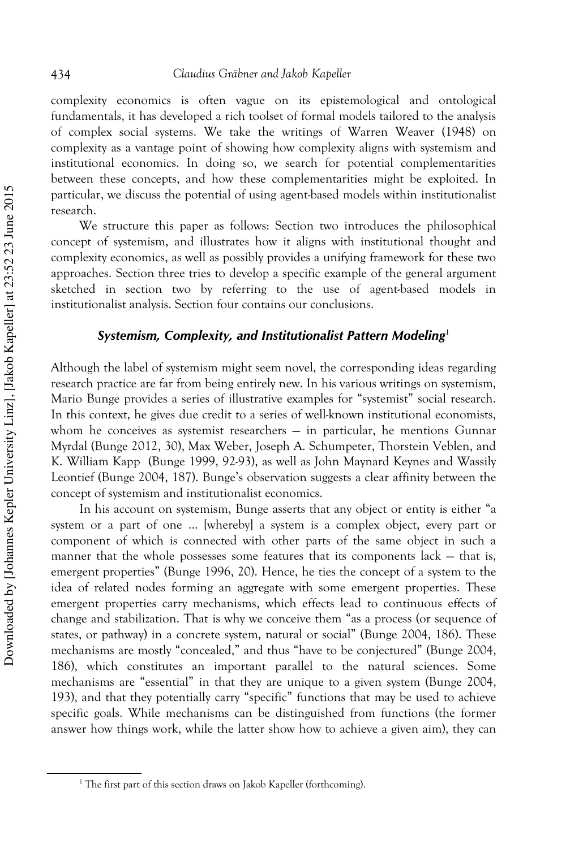complexity economics is often vague on its epistemological and ontological fundamentals, it has developed a rich toolset of formal models tailored to the analysis of complex social systems. We take the writings of Warren Weaver (1948) on complexity as a vantage point of showing how complexity aligns with systemism and institutional economics. In doing so, we search for potential complementarities between these concepts, and how these complementarities might be exploited. In particular, we discuss the potential of using agent-based models within institutionalist research.

We structure this paper as follows: Section two introduces the philosophical concept of systemism, and illustrates how it aligns with institutional thought and complexity economics, as well as possibly provides a unifying framework for these two approaches. Section three tries to develop a specific example of the general argument sketched in section two by referring to the use of agent-based models in institutionalist analysis. Section four contains our conclusions.

#### *Systemism, Complexity, and Institutionalist Pattern Modeling*<sup>1</sup>

Although the label of systemism might seem novel, the corresponding ideas regarding research practice are far from being entirely new. In his various writings on systemism, Mario Bunge provides a series of illustrative examples for "systemist" social research. In this context, he gives due credit to a series of well-known institutional economists, whom he conceives as systemist researchers — in particular, he mentions Gunnar Myrdal (Bunge 2012, 30), Max Weber, Joseph A. Schumpeter, Thorstein Veblen, and K. William Kapp (Bunge 1999, 92-93), as well as John Maynard Keynes and Wassily Leontief (Bunge 2004, 187). Bunge's observation suggests a clear affinity between the concept of systemism and institutionalist economics.

**444**<br>
Claudius Gräbner and Jakob Kapeller<br>
coorpilesty recouvering is of rev vague on the repletenduated and order<br>
functioned and choosing baselined and choosing baselined and choosing<br>
of complex sectial systems. We ta In his account on systemism, Bunge asserts that any object or entity is either "a system or a part of one … [whereby] a system is a complex object, every part or component of which is connected with other parts of the same object in such a manner that the whole possesses some features that its components lack – that is, emergent properties" (Bunge 1996, 20). Hence, he ties the concept of a system to the idea of related nodes forming an aggregate with some emergent properties. These emergent properties carry mechanisms, which effects lead to continuous effects of change and stabilization. That is why we conceive them "as a process (or sequence of states, or pathway) in a concrete system, natural or social" (Bunge 2004, 186). These mechanisms are mostly "concealed," and thus "have to be conjectured" (Bunge 2004, 186), which constitutes an important parallel to the natural sciences. Some mechanisms are "essential" in that they are unique to a given system (Bunge 2004, 193), and that they potentially carry "specific" functions that may be used to achieve specific goals. While mechanisms can be distinguished from functions (the former answer how things work, while the latter show how to achieve a given aim), they can

<sup>&</sup>lt;sup>1</sup> The first part of this section draws on Jakob Kapeller (forthcoming).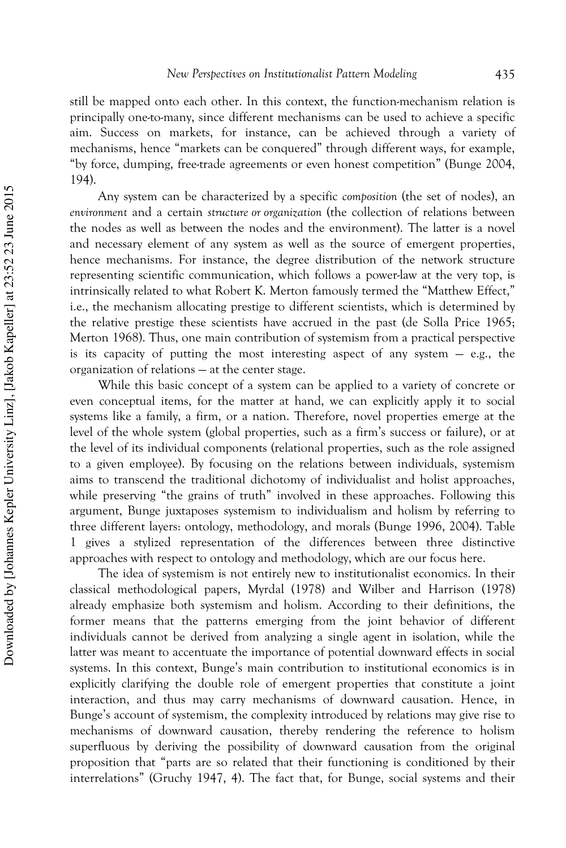still be mapped onto each other. In this context, the function-mechanism relation is principally one-to-many, since different mechanisms can be used to achieve a specific aim. Success on markets, for instance, can be achieved through a variety of mechanisms, hence "markets can be conquered" through different ways, for example, "by force, dumping, free-trade agreements or even honest competition" (Bunge 2004, 194).

Any system can be characterized by a specific *composition* (the set of nodes), an *environment* and a certain *structure or organization* (the collection of relations between the nodes as well as between the nodes and the environment). The latter is a novel and necessary element of any system as well as the source of emergent properties, hence mechanisms. For instance, the degree distribution of the network structure representing scientific communication, which follows a power-law at the very top, is intrinsically related to what Robert K. Merton famously termed the "Matthew Effect," i.e., the mechanism allocating prestige to different scientists, which is determined by the relative prestige these scientists have accrued in the past (de Solla Price 1965; Merton 1968). Thus, one main contribution of systemism from a practical perspective is its capacity of putting the most interesting aspect of any system  $-$  e.g., the organization of relations — at the center stage.

While this basic concept of a system can be applied to a variety of concrete or even conceptual items, for the matter at hand, we can explicitly apply it to social systems like a family, a firm, or a nation. Therefore, novel properties emerge at the level of the whole system (global properties, such as a firm's success or failure), or at the level of its individual components (relational properties, such as the role assigned to a given employee). By focusing on the relations between individuals, systemism aims to transcend the traditional dichotomy of individualist and holist approaches, while preserving "the grains of truth" involved in these approaches. Following this argument, Bunge juxtaposes systemism to individualism and holism by referring to three different layers: ontology, methodology, and morals (Bunge 1996, 2004). Table 1 gives a stylized representation of the differences between three distinctive approaches with respect to ontology and methodology, which are our focus here.

New Perspectives on Institutionalist Pattern Modeling<br>
and the marged once each celur. In this concert, the function-mechanism relation as<br>
principality one-comany, are different mechanisms can be used to achieve a specif The idea of systemism is not entirely new to institutionalist economics. In their classical methodological papers, Myrdal (1978) and Wilber and Harrison (1978) already emphasize both systemism and holism. According to their definitions, the former means that the patterns emerging from the joint behavior of different individuals cannot be derived from analyzing a single agent in isolation, while the latter was meant to accentuate the importance of potential downward effects in social systems. In this context, Bunge's main contribution to institutional economics is in explicitly clarifying the double role of emergent properties that constitute a joint interaction, and thus may carry mechanisms of downward causation. Hence, in Bunge's account of systemism, the complexity introduced by relations may give rise to mechanisms of downward causation, thereby rendering the reference to holism superfluous by deriving the possibility of downward causation from the original proposition that "parts are so related that their functioning is conditioned by their interrelations" (Gruchy 1947, 4). The fact that, for Bunge, social systems and their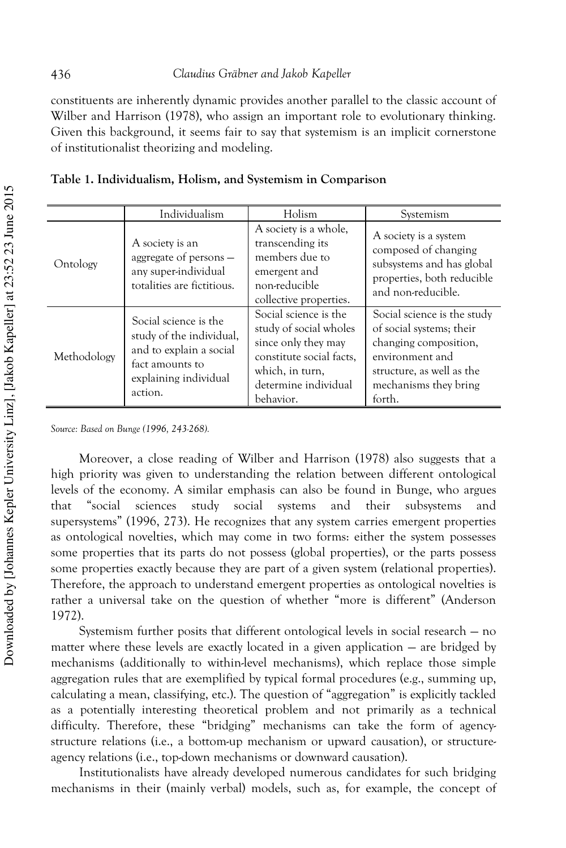constituents are inherently dynamic provides another parallel to the classic account of Wilber and Harrison (1978), who assign an important role to evolutionary thinking. Given this background, it seems fair to say that systemism is an implicit cornerstone of institutionalist theorizing and modeling.

|             | Individualism                                                                                                                       | Holism                                                                                                                                                     | Systemism                                                                                                                                                           |
|-------------|-------------------------------------------------------------------------------------------------------------------------------------|------------------------------------------------------------------------------------------------------------------------------------------------------------|---------------------------------------------------------------------------------------------------------------------------------------------------------------------|
| Ontology    | A society is an<br>aggregate of persons -<br>any super-individual<br>totalities are fictitious.                                     | A society is a whole,<br>transcending its<br>members due to<br>emergent and<br>non-reducible<br>collective properties.                                     | A society is a system<br>composed of changing<br>subsystems and has global<br>properties, both reducible<br>and non-reducible.                                      |
| Methodology | Social science is the<br>study of the individual,<br>and to explain a social<br>fact amounts to<br>explaining individual<br>action. | Social science is the<br>study of social wholes<br>since only they may<br>constitute social facts,<br>which, in turn,<br>determine individual<br>behavior. | Social science is the study<br>of social systems; their<br>changing composition,<br>environment and<br>structure, as well as the<br>mechanisms they bring<br>forth. |

**Table 1. Individualism, Holism, and Systemism in Comparison** 

*Source: Based on Bunge (1996, 243-268).* 

Moreover, a close reading of Wilber and Harrison (1978) also suggests that a high priority was given to understanding the relation between different ontological levels of the economy. A similar emphasis can also be found in Bunge, who argues that "social sciences study social systems and their subsystems and supersystems" (1996, 273). He recognizes that any system carries emergent properties as ontological novelties, which may come in two forms: either the system possesses some properties that its parts do not possess (global properties), or the parts possess some properties exactly because they are part of a given system (relational properties). Therefore, the approach to understand emergent properties as ontological novelties is rather a universal take on the question of whether "more is different" (Anderson 1972).

Systemism further posits that different ontological levels in social research — no matter where these levels are exactly located in a given application — are bridged by mechanisms (additionally to within-level mechanisms), which replace those simple aggregation rules that are exemplified by typical formal procedures (e.g., summing up, calculating a mean, classifying, etc.). The question of "aggregation" is explicitly tackled as a potentially interesting theoretical problem and not primarily as a technical difficulty. Therefore, these "bridging" mechanisms can take the form of agencystructure relations (i.e., a bottom-up mechanism or upward causation), or structureagency relations (i.e., top-down mechanisms or downward causation).

Institutionalists have already developed numerous candidates for such bridging mechanisms in their (mainly verbal) models, such as, for example, the concept of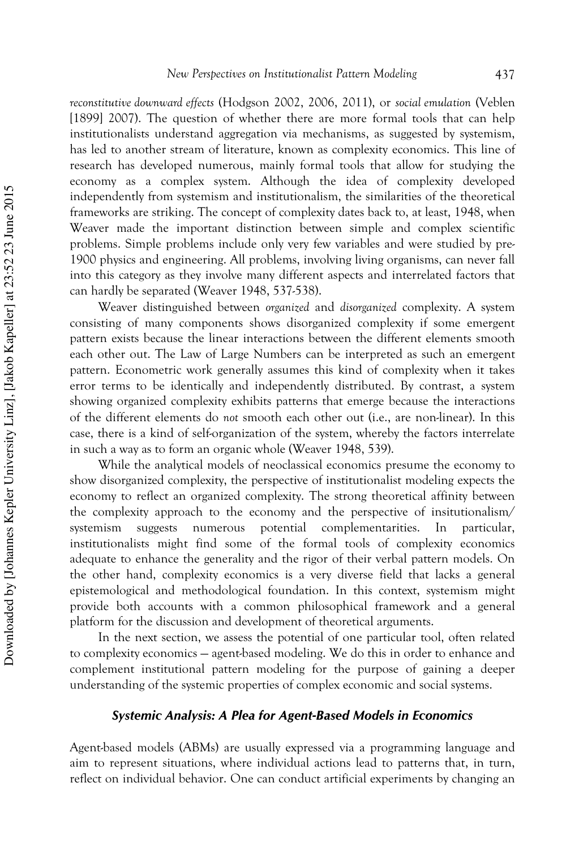*reconstitutive downward effects* (Hodgson 2002, 2006, 2011), or *social emulation* (Veblen [1899] 2007). The question of whether there are more formal tools that can help institutionalists understand aggregation via mechanisms, as suggested by systemism, has led to another stream of literature, known as complexity economics. This line of research has developed numerous, mainly formal tools that allow for studying the economy as a complex system. Although the idea of complexity developed independently from systemism and institutionalism, the similarities of the theoretical frameworks are striking. The concept of complexity dates back to, at least, 1948, when Weaver made the important distinction between simple and complex scientific problems. Simple problems include only very few variables and were studied by pre-1900 physics and engineering. All problems, involving living organisms, can never fall into this category as they involve many different aspects and interrelated factors that can hardly be separated (Weaver 1948, 537-538).

Weaver distinguished between *organized* and *disorganized* complexity. A system consisting of many components shows disorganized complexity if some emergent pattern exists because the linear interactions between the different elements smooth each other out. The Law of Large Numbers can be interpreted as such an emergent pattern. Econometric work generally assumes this kind of complexity when it takes error terms to be identically and independently distributed. By contrast, a system showing organized complexity exhibits patterns that emerge because the interactions of the different elements do *not* smooth each other out (i.e., are non-linear). In this case, there is a kind of self-organization of the system, whereby the factors interrelate in such a way as to form an organic whole (Weaver 1948, 539).

While the analytical models of neoclassical economics presume the economy to show disorganized complexity, the perspective of institutionalist modeling expects the economy to reflect an organized complexity. The strong theoretical affinity between the complexity approach to the economy and the perspective of insitutionalism/ systemism suggests numerous potential complementarities. In particular, institutionalists might find some of the formal tools of complexity economics adequate to enhance the generality and the rigor of their verbal pattern models. On the other hand, complexity economics is a very diverse field that lacks a general epistemological and methodological foundation. In this context, systemism might provide both accounts with a common philosophical framework and a general platform for the discussion and development of theoretical arguments.

In the next section, we assess the potential of one particular tool, often related to complexity economics — agent-based modeling. We do this in order to enhance and complement institutional pattern modeling for the purpose of gaining a deeper understanding of the systemic properties of complex economic and social systems.

#### *Systemic Analysis: A Plea for Agent-Based Models in Economics*

Agent-based models (ABMs) are usually expressed via a programming language and aim to represent situations, where individual actions lead to patterns that, in turn, reflect on individual behavior. One can conduct artificial experiments by changing an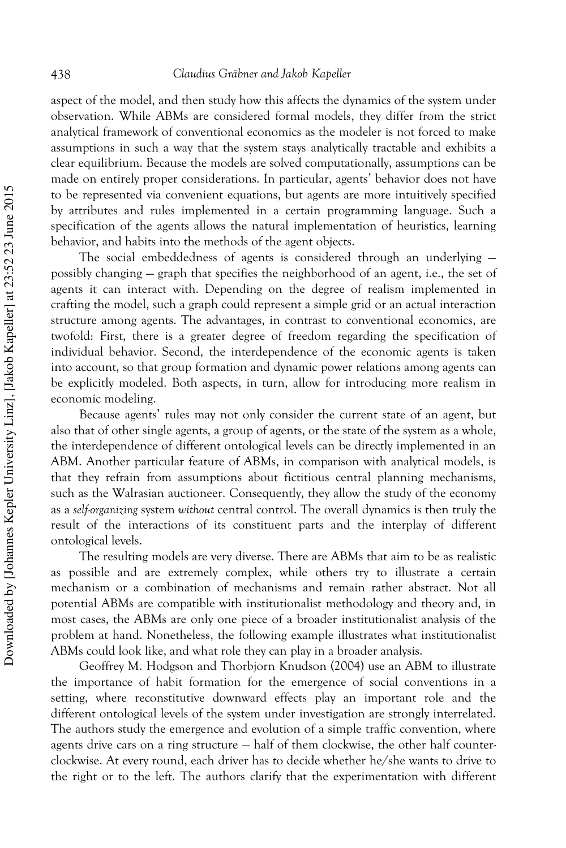#### 438 *Claudius Gräbner and Jakob Kapeller*

aspect of the model, and then study how this affects the dynamics of the system under observation. While ABMs are considered formal models, they differ from the strict analytical framework of conventional economics as the modeler is not forced to make assumptions in such a way that the system stays analytically tractable and exhibits a clear equilibrium. Because the models are solved computationally, assumptions can be made on entirely proper considerations. In particular, agents' behavior does not have to be represented via convenient equations, but agents are more intuitively specified by attributes and rules implemented in a certain programming language. Such a specification of the agents allows the natural implementation of heuristics, learning behavior, and habits into the methods of the agent objects.

The social embeddedness of agents is considered through an underlying possibly changing — graph that specifies the neighborhood of an agent, i.e., the set of agents it can interact with. Depending on the degree of realism implemented in crafting the model, such a graph could represent a simple grid or an actual interaction structure among agents. The advantages, in contrast to conventional economics, are twofold: First, there is a greater degree of freedom regarding the specification of individual behavior. Second, the interdependence of the economic agents is taken into account, so that group formation and dynamic power relations among agents can be explicitly modeled. Both aspects, in turn, allow for introducing more realism in economic modeling.

 also that of other single agents, a group of agents, or the state of the system as a whole, Because agents' rules may not only consider the current state of an agent, but the interdependence of different ontological levels can be directly implemented in an ABM. Another particular feature of ABMs, in comparison with analytical models, is that they refrain from assumptions about fictitious central planning mechanisms, such as the Walrasian auctioneer. Consequently, they allow the study of the economy as a *self-organizing* system *without* central control. The overall dynamics is then truly the result of the interactions of its constituent parts and the interplay of different ontological levels.

The resulting models are very diverse. There are ABMs that aim to be as realistic as possible and are extremely complex, while others try to illustrate a certain mechanism or a combination of mechanisms and remain rather abstract. Not all potential ABMs are compatible with institutionalist methodology and theory and, in most cases, the ABMs are only one piece of a broader institutionalist analysis of the problem at hand. Nonetheless, the following example illustrates what institutionalist ABMs could look like, and what role they can play in a broader analysis.

Geoffrey M. Hodgson and Thorbjorn Knudson (2004) use an ABM to illustrate the importance of habit formation for the emergence of social conventions in a setting, where reconstitutive downward effects play an important role and the different ontological levels of the system under investigation are strongly interrelated. The authors study the emergence and evolution of a simple traffic convention, where agents drive cars on a ring structure — half of them clockwise, the other half counterclockwise. At every round, each driver has to decide whether he/she wants to drive to the right or to the left. The authors clarify that the experimentation with different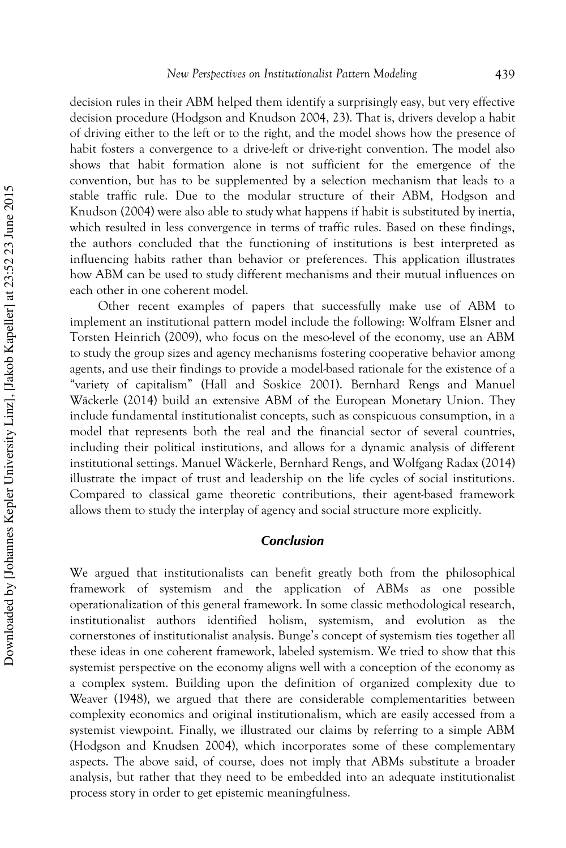decision rules in their ABM helped them identify a surprisingly easy, but very effective decision procedure (Hodgson and Knudson 2004, 23). That is, drivers develop a habit of driving either to the left or to the right, and the model shows how the presence of habit fosters a convergence to a drive-left or drive-right convention. The model also shows that habit formation alone is not sufficient for the emergence of the convention, but has to be supplemented by a selection mechanism that leads to a stable traffic rule. Due to the modular structure of their ABM, Hodgson and Knudson (2004) were also able to study what happens if habit is substituted by inertia, which resulted in less convergence in terms of traffic rules. Based on these findings, the authors concluded that the functioning of institutions is best interpreted as influencing habits rather than behavior or preferences. This application illustrates how ABM can be used to study different mechanisms and their mutual influences on each other in one coherent model.

Other recent examples of papers that successfully make use of ABM to implement an institutional pattern model include the following: Wolfram Elsner and Torsten Heinrich (2009), who focus on the meso-level of the economy, use an ABM to study the group sizes and agency mechanisms fostering cooperative behavior among agents, and use their findings to provide a model-based rationale for the existence of a "variety of capitalism" (Hall and Soskice 2001). Bernhard Rengs and Manuel Wäckerle (2014) build an extensive ABM of the European Monetary Union. They include fundamental institutionalist concepts, such as conspicuous consumption, in a model that represents both the real and the financial sector of several countries, including their political institutions, and allows for a dynamic analysis of different institutional settings. Manuel Wäckerle, Bernhard Rengs, and Wolfgang Radax (2014) illustrate the impact of trust and leadership on the life cycles of social institutions. Compared to classical game theoretic contributions, their agent-based framework allows them to study the interplay of agency and social structure more explicitly.

#### *Conclusion*

We argued that institutionalists can benefit greatly both from the philosophical framework of systemism and the application of ABMs as one possible operationalization of this general framework. In some classic methodological research, institutionalist authors identified holism, systemism, and evolution as the cornerstones of institutionalist analysis. Bunge's concept of systemism ties together all these ideas in one coherent framework, labeled systemism. We tried to show that this systemist perspective on the economy aligns well with a conception of the economy as a complex system. Building upon the definition of organized complexity due to Weaver (1948), we argued that there are considerable complementarities between complexity economics and original institutionalism, which are easily accessed from a systemist viewpoint. Finally, we illustrated our claims by referring to a simple ABM (Hodgson and Knudsen 2004), which incorporates some of these complementary aspects. The above said, of course, does not imply that ABMs substitute a broader analysis, but rather that they need to be embedded into an adequate institutionalist process story in order to get epistemic meaningfulness.